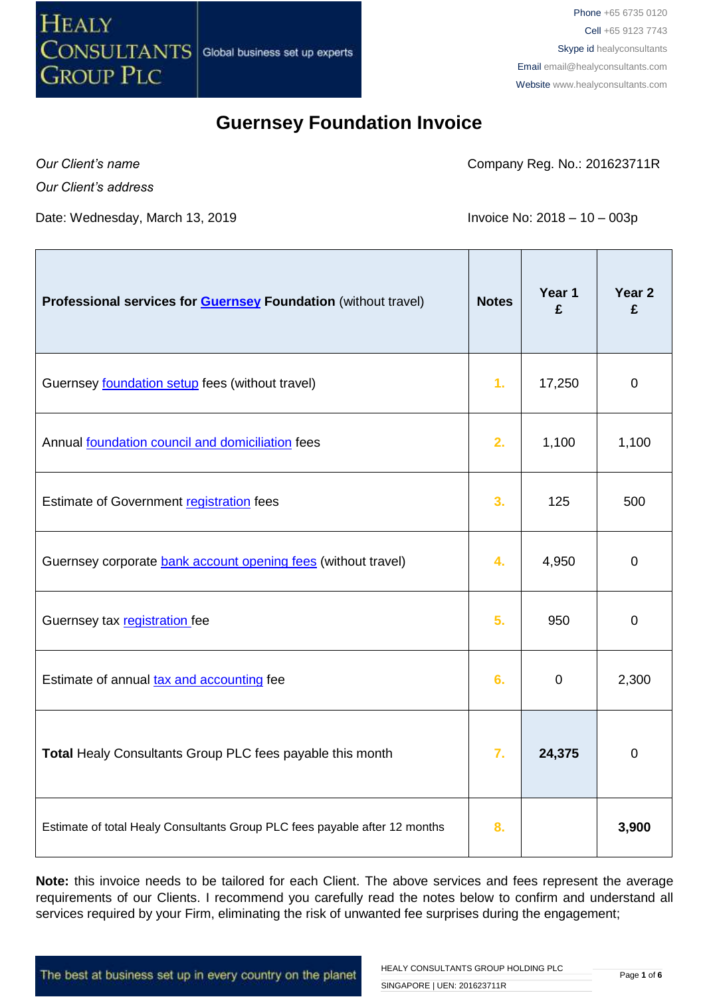

*Our Client's name Our Client's address* Company Reg. No.: 201623711R

Date: Wednesday, March 13, 2019 **Invoice No: 2018** - 10 – 003p

| Professional services for <b>Guernsey Foundation</b> (without travel)      | <b>Notes</b>   | Year 1<br>£ | Year 2<br>£    |
|----------------------------------------------------------------------------|----------------|-------------|----------------|
| Guernsey foundation setup fees (without travel)                            | 1 <sub>r</sub> | 17,250      | $\mathbf 0$    |
| Annual foundation council and domiciliation fees                           | 2.             | 1,100       | 1,100          |
| Estimate of Government registration fees                                   | 3.             | 125         | 500            |
| Guernsey corporate bank account opening fees (without travel)              | 4.             | 4,950       | $\mathbf 0$    |
| Guernsey tax registration fee                                              | 5.             | 950         | 0              |
| Estimate of annual tax and accounting fee                                  | 6.             | $\mathbf 0$ | 2,300          |
| Total Healy Consultants Group PLC fees payable this month                  | 7.             | 24,375      | $\overline{0}$ |
| Estimate of total Healy Consultants Group PLC fees payable after 12 months | 8.             |             | 3,900          |

**Note:** this invoice needs to be tailored for each Client. The above services and fees represent the average requirements of our Clients. I recommend you carefully read the notes below to confirm and understand all services required by your Firm, eliminating the risk of unwanted fee surprises during the engagement;

The best at business set up in every country on the planet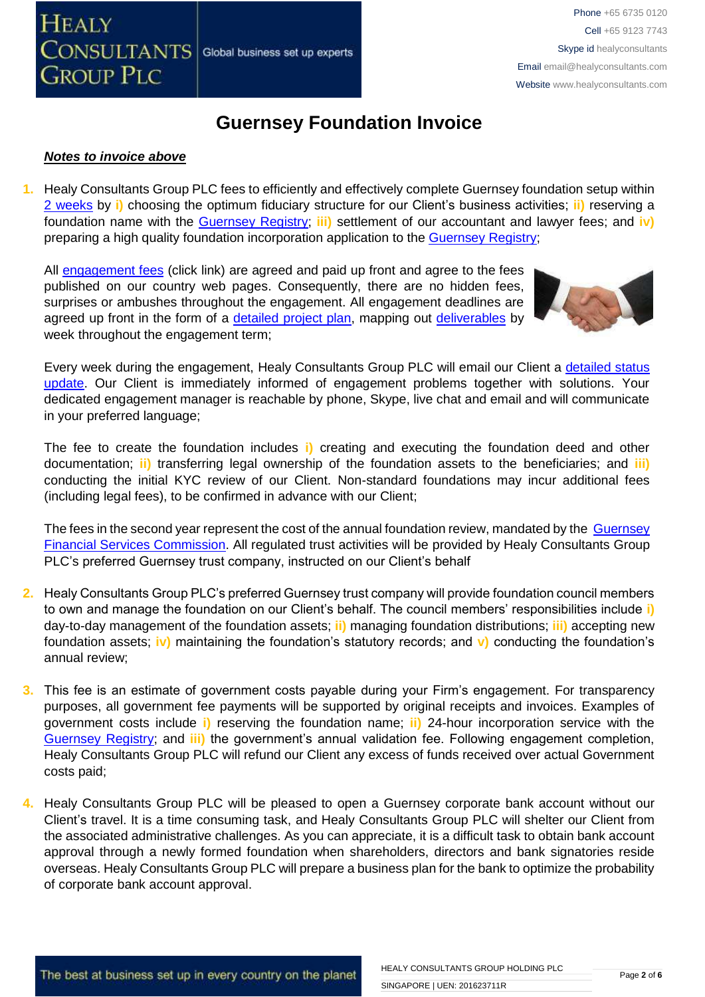

#### *Notes to invoice above*

**1.** Healy Consultants Group PLC fees to efficiently and effectively complete Guernsey foundation setup within [2 weeks](http://www.healyconsultants.com/guernsey-company-registration/fees-timelines/#timelines) by **i)** choosing the optimum fiduciary structure for our Client's business activities; **ii)** reserving a foundation name with the [Guernsey Registry;](http://guernseyregistry.com/) **iii)** settlement of our accountant and lawyer fees; and **iv)** preparing a high quality foundation incorporation application to the [Guernsey Registry;](http://guernseyregistry.com/)

All [engagement fees](http://www.healyconsultants.com/company-registration-fees/) (click link) are agreed and paid up front and agree to the fees published on our country web pages. Consequently, there are no hidden fees, surprises or ambushes throughout the engagement. All engagement deadlines are agreed up front in the form of a [detailed project plan,](http://www.healyconsultants.com/index-important-links/example-project-plan/) mapping out [deliverables](http://www.healyconsultants.com/deliverables-to-our-clients/) by week throughout the engagement term;



Every week during the engagement, Healy Consultants Group PLC will email our Client a detailed status [update.](http://www.healyconsultants.com/index-important-links/weekly-engagement-status-email/) Our Client is immediately informed of engagement problems together with solutions. Your dedicated engagement manager is reachable by phone, Skype, live chat and email and will communicate in your preferred language;

The fee to create the foundation includes **i)** creating and executing the foundation deed and other documentation; **ii)** transferring legal ownership of the foundation assets to the beneficiaries; and **iii)** conducting the initial KYC review of our Client. Non-standard foundations may incur additional fees (including legal fees), to be confirmed in advance with our Client;

The fees in the second year represent the cost of the annual foundation review, mandated by the Guernsey [Financial Services Commission.](https://www.gfsc.gg/Fiduciary/Pages/Home.aspx) All regulated trust activities will be provided by Healy Consultants Group PLC's preferred Guernsey trust company, instructed on our Client's behalf

- **2.** Healy Consultants Group PLC's preferred Guernsey trust company will provide foundation council members to own and manage the foundation on our Client's behalf. The council members' responsibilities include **i)** day-to-day management of the foundation assets; **ii)** managing foundation distributions; **iii)** accepting new foundation assets; **iv)** maintaining the foundation's statutory records; and **v)** conducting the foundation's annual review;
- **3.** This fee is an estimate of government costs payable during your Firm's engagement. For transparency purposes, all government fee payments will be supported by original receipts and invoices. Examples of government costs include **i)** reserving the foundation name; **ii)** 24-hour incorporation service with the [Guernsey Registry;](http://guernseyregistry.com/) and **iii)** the government's annual validation fee. Following engagement completion, Healy Consultants Group PLC will refund our Client any excess of funds received over actual Government costs paid;
- **4.** Healy Consultants Group PLC will be pleased to open a Guernsey corporate bank account without our Client's travel. It is a time consuming task, and Healy Consultants Group PLC will shelter our Client from the associated administrative challenges. As you can appreciate, it is a difficult task to obtain bank account approval through a newly formed foundation when shareholders, directors and bank signatories reside overseas. Healy Consultants Group PLC will prepare a business plan for the bank to optimize the probability of corporate bank account approval.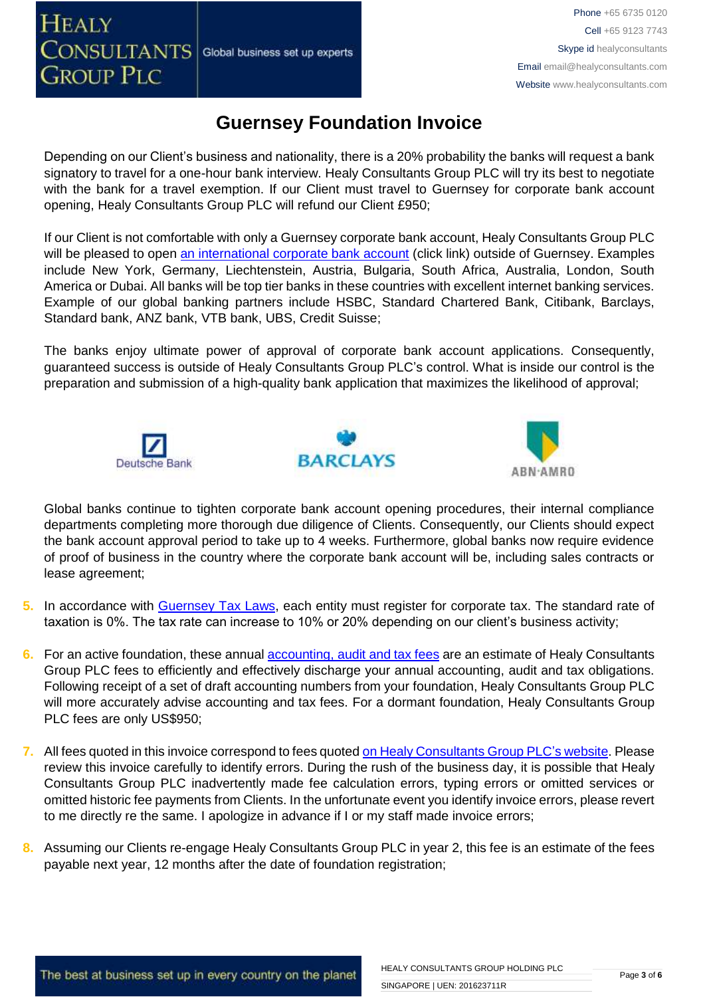#### **HEALY CONSULTANTS** Global business set up experts **GROUP PLC**

## **Guernsey Foundation Invoice**

Depending on our Client's business and nationality, there is a 20% probability the banks will request a bank signatory to travel for a one-hour bank interview. Healy Consultants Group PLC will try its best to negotiate with the bank for a travel exemption. If our Client must travel to Guernsey for corporate bank account opening, Healy Consultants Group PLC will refund our Client £950;

If our Client is not comfortable with only a Guernsey corporate bank account, Healy Consultants Group PLC will be pleased to open [an international corporate bank account](http://www.healyconsultants.com/international-banking/) (click link) outside of Guernsey. Examples include New York, Germany, Liechtenstein, Austria, Bulgaria, South Africa, Australia, London, South America or Dubai. All banks will be top tier banks in these countries with excellent internet banking services. Example of our global banking partners include HSBC, Standard Chartered Bank, Citibank, Barclays, Standard bank, ANZ bank, VTB bank, UBS, Credit Suisse;

The banks enjoy ultimate power of approval of corporate bank account applications. Consequently, guaranteed success is outside of Healy Consultants Group PLC's control. What is inside our control is the preparation and submission of a high-quality bank application that maximizes the likelihood of approval;







Global banks continue to tighten corporate bank account opening procedures, their internal compliance departments completing more thorough due diligence of Clients. Consequently, our Clients should expect the bank account approval period to take up to 4 weeks. Furthermore, global banks now require evidence of proof of business in the country where the corporate bank account will be, including sales contracts or lease agreement;

- **5.** In accordance with [Guernsey Tax Laws,](https://gov.gg/article/120167/Tax-for-businesses-companies-and-employers) each entity must register for corporate tax. The standard rate of taxation is 0%. The tax rate can increase to 10% or 20% depending on our client's business activity;
- **6.** For an active foundation, these annual [accounting, audit and tax](http://www.healyconsultants.com/guernsey-company-registration/accounting-legal/) fees are an estimate of Healy Consultants Group PLC fees to efficiently and effectively discharge your annual accounting, audit and tax obligations. Following receipt of a set of draft accounting numbers from your foundation, Healy Consultants Group PLC will more accurately advise accounting and tax fees. For a dormant foundation, Healy Consultants Group PLC fees are only US\$950;
- **7.** All fees quoted in this invoice correspond to fees quoted [on Healy Consultants Group PLC's](http://www.healyconsultants.com/company-registration-fees/) website. Please review this invoice carefully to identify errors. During the rush of the business day, it is possible that Healy Consultants Group PLC inadvertently made fee calculation errors, typing errors or omitted services or omitted historic fee payments from Clients. In the unfortunate event you identify invoice errors, please revert to me directly re the same. I apologize in advance if I or my staff made invoice errors;
- **8.** Assuming our Clients re-engage Healy Consultants Group PLC in year 2, this fee is an estimate of the fees payable next year, 12 months after the date of foundation registration;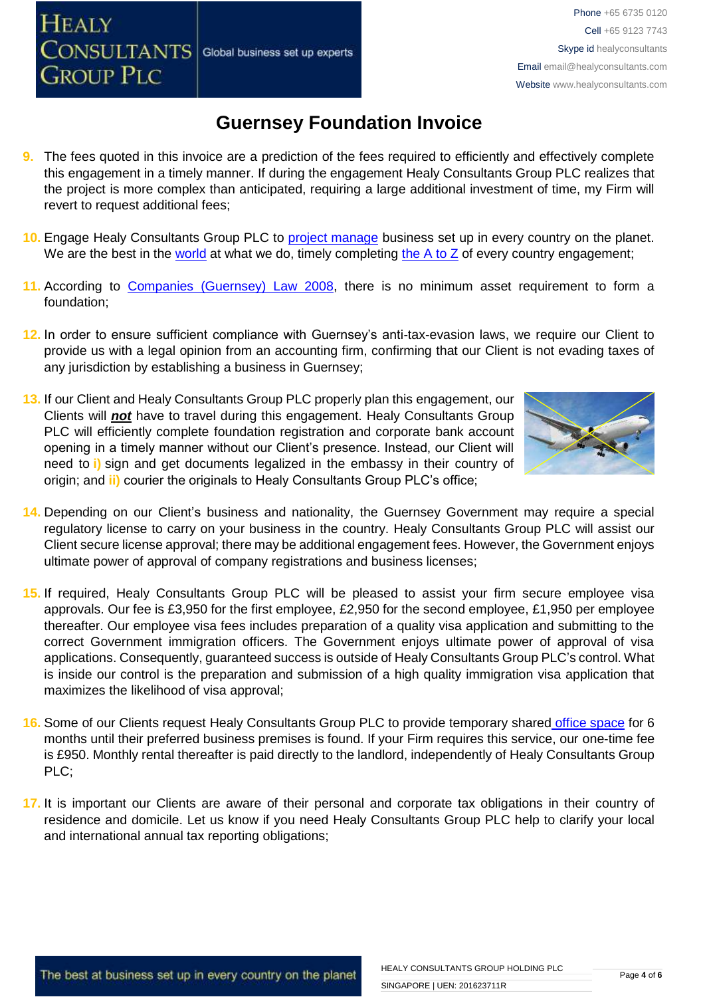- **9.** The fees quoted in this invoice are a prediction of the fees required to efficiently and effectively complete this engagement in a timely manner. If during the engagement Healy Consultants Group PLC realizes that the project is more complex than anticipated, requiring a large additional investment of time, my Firm will revert to request additional fees;
- **10.** Engage Healy Consultants Group PLC to [project manage](http://www.healyconsultants.com/project-manage-engagements/) business set up in every country on the planet. We are the best in the [world](http://www.healyconsultants.com/best-in-the-world/) at what we do, timely completing the  $A$  to  $Z$  of every country engagement;
- 11. According to [Companies \(Guernsey\) Law 2008,](http://www.guernseylegalresources.gg/article/94138/Companies-Guernsey-Law-2008-Consolidated-text) there is no minimum asset requirement to form a foundation;
- **12.** In order to ensure sufficient compliance with Guernsey's anti-tax-evasion laws, we require our Client to provide us with a legal opinion from an accounting firm, confirming that our Client is not evading taxes of any jurisdiction by establishing a business in Guernsey;
- **13.** If our Client and Healy Consultants Group PLC properly plan this engagement, our Clients will *not* have to travel during this engagement. Healy Consultants Group PLC will efficiently complete foundation registration and corporate bank account opening in a timely manner without our Client's presence. Instead, our Client will need to **i)** sign and get documents legalized in the embassy in their country of origin; and **ii)** courier the originals to Healy Consultants Group PLC's office;



- **14.** Depending on our Client's business and nationality, the Guernsey Government may require a special regulatory license to carry on your business in the country. Healy Consultants Group PLC will assist our Client secure license approval; there may be additional engagement fees. However, the Government enjoys ultimate power of approval of company registrations and business licenses;
- **15.** If required, Healy Consultants Group PLC will be pleased to assist your firm secure employee visa approvals. Our fee is £3,950 for the first employee, £2,950 for the second employee, £1,950 per employee thereafter. Our employee visa fees includes preparation of a quality visa application and submitting to the correct Government immigration officers. The Government enjoys ultimate power of approval of visa applications. Consequently, guaranteed success is outside of Healy Consultants Group PLC's control. What is inside our control is the preparation and submission of a high quality immigration visa application that maximizes the likelihood of visa approval;
- **16.** Some of our Clients request Healy Consultants Group PLC to provide temporary shared [office space](http://www.healyconsultants.com/virtual-office/) for 6 months until their preferred business premises is found. If your Firm requires this service, our one-time fee is £950. Monthly rental thereafter is paid directly to the landlord, independently of Healy Consultants Group PLC;
- **17.** It is important our Clients are aware of their personal and corporate tax obligations in their country of residence and domicile. Let us know if you need Healy Consultants Group PLC help to clarify your local and international annual tax reporting obligations;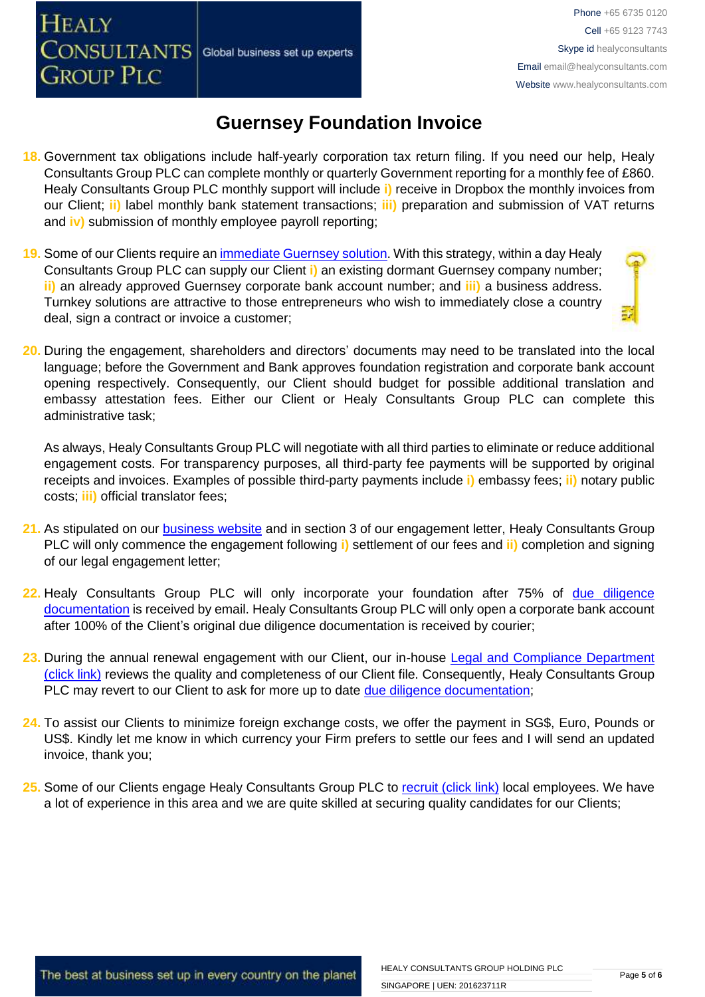- **18.** Government tax obligations include half-yearly corporation tax return filing. If you need our help, Healy Consultants Group PLC can complete monthly or quarterly Government reporting for a monthly fee of £860. Healy Consultants Group PLC monthly support will include **i)** receive in Dropbox the monthly invoices from our Client; **ii)** label monthly bank statement transactions; **iii)** preparation and submission of VAT returns and **iv)** submission of monthly employee payroll reporting;
- **19.** Some of our Clients require an [immediate Guernsey](http://www.healyconsultants.com/turnkey-solutions/) solution. With this strategy, within a day Healy Consultants Group PLC can supply our Client **i)** an existing dormant Guernsey company number; **ii)** an already approved Guernsey corporate bank account number; and **iii)** a business address. Turnkey solutions are attractive to those entrepreneurs who wish to immediately close a country deal, sign a contract or invoice a customer;
- **20.** During the engagement, shareholders and directors' documents may need to be translated into the local language; before the Government and Bank approves foundation registration and corporate bank account opening respectively. Consequently, our Client should budget for possible additional translation and embassy attestation fees. Either our Client or Healy Consultants Group PLC can complete this administrative task;

As always, Healy Consultants Group PLC will negotiate with all third parties to eliminate or reduce additional engagement costs. For transparency purposes, all third-party fee payments will be supported by original receipts and invoices. Examples of possible third-party payments include **i)** embassy fees; **ii)** notary public costs; **iii)** official translator fees;

- 21. As stipulated on our **business website** and in section 3 of our engagement letter, Healy Consultants Group PLC will only commence the engagement following **i)** settlement of our fees and **ii)** completion and signing of our legal engagement letter;
- **22.** Healy Consultants Group PLC will only incorporate your foundation after 75% of [due diligence](http://www.healyconsultants.com/due-diligence/)  [documentation](http://www.healyconsultants.com/due-diligence/) is received by email. Healy Consultants Group PLC will only open a corporate bank account after 100% of the Client's original due diligence documentation is received by courier;
- 23. During the annual renewal engagement with our Client, our in-house Legal and Compliance Department [\(click link\)](http://www.healyconsultants.com/about-us/key-personnel/cai-xin-profile/) reviews the quality and completeness of our Client file. Consequently, Healy Consultants Group PLC may revert to our Client to ask for more up to date [due diligence documentation;](http://www.healyconsultants.com/due-diligence/)
- **24.** To assist our Clients to minimize foreign exchange costs, we offer the payment in SG\$, Euro, Pounds or US\$. Kindly let me know in which currency your Firm prefers to settle our fees and I will send an updated invoice, thank you;
- **25.** Some of our Clients engage Healy Consultants Group PLC to [recruit \(click link\)](http://www.healyconsultants.com/corporate-outsourcing-services/how-we-help-our-clients-recruit-quality-employees/) local employees. We have a lot of experience in this area and we are quite skilled at securing quality candidates for our Clients;